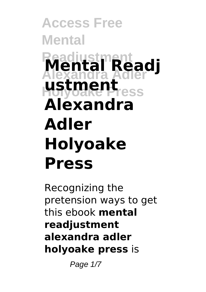## **Access Free Mental Readjustment Alexandra Adler Mental Readj Holyoake Press ustment Alexandra Adler Holyoake Press**

Recognizing the pretension ways to get this ebook **mental readjustment alexandra adler holyoake press** is

Page  $1/7$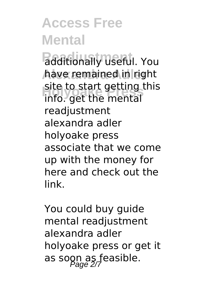## **Access Free Mental**

**Redditionally useful. You** have remained in right site to start getting site to start getting this readiustment alexandra adler holyoake press associate that we come up with the money for here and check out the link.

You could buy guide mental readjustment alexandra adler holyoake press or get it as soon as feasible.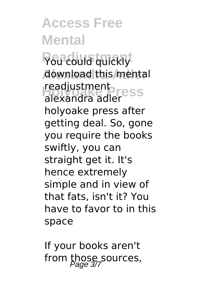**Access Free Mental Reading quickly** download this mental readjustment<br>alexandra adler alexandra adler holyoake press after getting deal. So, gone you require the books swiftly, you can straight get it. It's hence extremely simple and in view of that fats, isn't it? You have to favor to in this space

If your books aren't from those sources,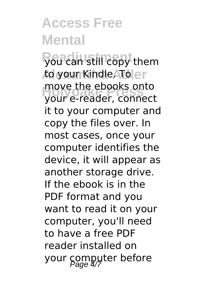## **Access Free Mental**

**you can still copy them Alexandra Adler** to your Kindle. To **Holyoake Press** your e-reader, connect move the ebooks onto it to your computer and copy the files over. In most cases, once your computer identifies the device, it will appear as another storage drive. If the ebook is in the PDF format and you want to read it on your computer, you'll need to have a free PDF reader installed on your computer before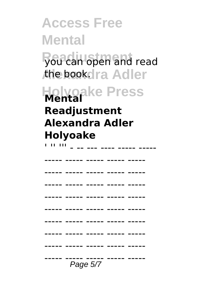**Access Free Mental you can open and read** the book.dra Adler **Holyoake Press Readjustment Alexandra Adler Holyoake** ' '' ''' - -- --- ---- ----- ----- ----- ----- ----- ----- ----- ----- ----- ----- ----- ----- ----- ----- ----- ----- ----- ----- ----- ----- ----- ----- ----- ----- ----- ----- ----- ----- ----- ----- ----- ----- ----- ----- ----- ----- ----- ----- ----- ----- ----- ----- ---- ----- ----- ---<br>*Page 5/7*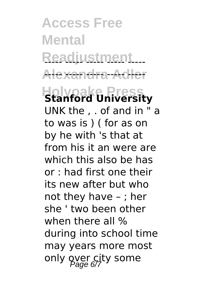**Access Free Mental** Readjustment... <del>Alexandra Adler</del> **Holyoake Press Stanford University** UNK the , . of and in " a to was is ) ( for as on by he with 's that at from his it an were are which this also be has or : had first one their its new after but who not they have – ; her she ' two been other when there all % during into school time may years more most only over city some